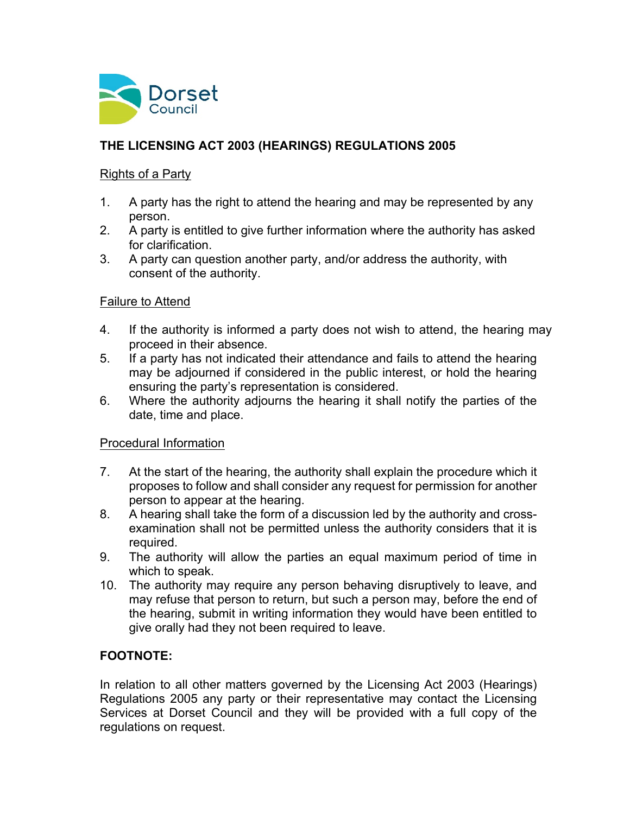

## **THE LICENSING ACT 2003 (HEARINGS) REGULATIONS 2005**

#### Rights of a Party

- 1. A party has the right to attend the hearing and may be represented by any person.
- 2. A party is entitled to give further information where the authority has asked for clarification.
- 3. A party can question another party, and/or address the authority, with consent of the authority.

#### Failure to Attend

- 4. If the authority is informed a party does not wish to attend, the hearing may proceed in their absence.
- 5. If a party has not indicated their attendance and fails to attend the hearing may be adjourned if considered in the public interest, or hold the hearing ensuring the party's representation is considered.
- 6. Where the authority adjourns the hearing it shall notify the parties of the date, time and place.

## Procedural Information

- 7. At the start of the hearing, the authority shall explain the procedure which it proposes to follow and shall consider any request for permission for another person to appear at the hearing.
- 8. A hearing shall take the form of a discussion led by the authority and crossexamination shall not be permitted unless the authority considers that it is required.
- 9. The authority will allow the parties an equal maximum period of time in which to speak.
- 10. The authority may require any person behaving disruptively to leave, and may refuse that person to return, but such a person may, before the end of the hearing, submit in writing information they would have been entitled to give orally had they not been required to leave.

## **FOOTNOTE:**

In relation to all other matters governed by the Licensing Act 2003 (Hearings) Regulations 2005 any party or their representative may contact the Licensing Services at Dorset Council and they will be provided with a full copy of the regulations on request.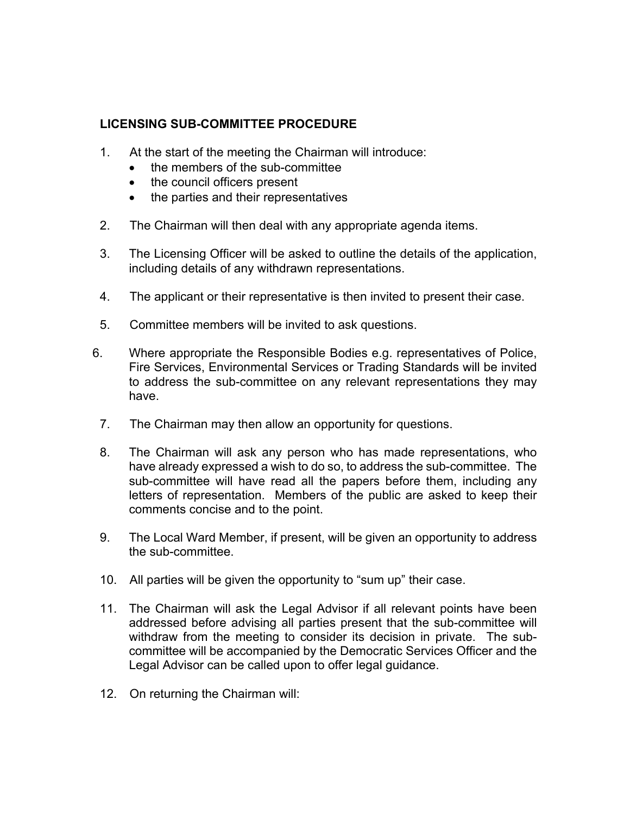### **LICENSING SUB-COMMITTEE PROCEDURE**

- 1. At the start of the meeting the Chairman will introduce:
	- the members of the sub-committee
	- the council officers present
	- the parties and their representatives
- 2. The Chairman will then deal with any appropriate agenda items.
- 3. The Licensing Officer will be asked to outline the details of the application, including details of any withdrawn representations.
- 4. The applicant or their representative is then invited to present their case.
- 5. Committee members will be invited to ask questions.
- 6. Where appropriate the Responsible Bodies e.g. representatives of Police, Fire Services, Environmental Services or Trading Standards will be invited to address the sub-committee on any relevant representations they may have.
- 7. The Chairman may then allow an opportunity for questions.
- 8. The Chairman will ask any person who has made representations, who have already expressed a wish to do so, to address the sub-committee. The sub-committee will have read all the papers before them, including any letters of representation. Members of the public are asked to keep their comments concise and to the point.
- 9. The Local Ward Member, if present, will be given an opportunity to address the sub-committee.
- 10. All parties will be given the opportunity to "sum up" their case.
- 11. The Chairman will ask the Legal Advisor if all relevant points have been addressed before advising all parties present that the sub-committee will withdraw from the meeting to consider its decision in private. The subcommittee will be accompanied by the Democratic Services Officer and the Legal Advisor can be called upon to offer legal guidance.
- 12. On returning the Chairman will: